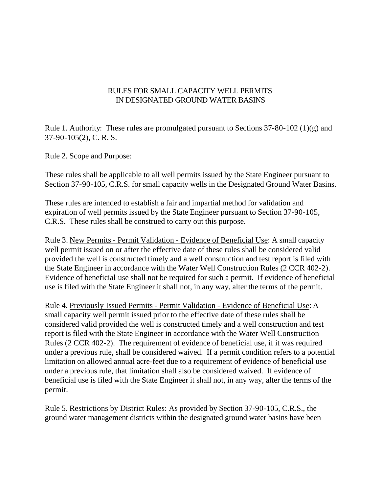## RULES FOR SMALL CAPACITY WELL PERMITS IN DESIGNATED GROUND WATER BASINS

Rule 1. Authority: These rules are promulgated pursuant to Sections 37-80-102 (1)(g) and 37-90-105(2), C. R. S.

Rule 2. Scope and Purpose:

These rules shall be applicable to all well permits issued by the State Engineer pursuant to Section 37-90-105, C.R.S. for small capacity wells in the Designated Ground Water Basins.

These rules are intended to establish a fair and impartial method for validation and expiration of well permits issued by the State Engineer pursuant to Section 37-90-105, C.R.S. These rules shall be construed to carry out this purpose.

Rule 3. New Permits - Permit Validation - Evidence of Beneficial Use: A small capacity well permit issued on or after the effective date of these rules shall be considered valid provided the well is constructed timely and a well construction and test report is filed with the State Engineer in accordance with the Water Well Construction Rules (2 CCR 402-2). Evidence of beneficial use shall not be required for such a permit. If evidence of beneficial use is filed with the State Engineer it shall not, in any way, alter the terms of the permit.

Rule 4. Previously Issued Permits - Permit Validation - Evidence of Beneficial Use: A small capacity well permit issued prior to the effective date of these rules shall be considered valid provided the well is constructed timely and a well construction and test report is filed with the State Engineer in accordance with the Water Well Construction Rules (2 CCR 402-2). The requirement of evidence of beneficial use, if it was required under a previous rule, shall be considered waived. If a permit condition refers to a potential limitation on allowed annual acre-feet due to a requirement of evidence of beneficial use under a previous rule, that limitation shall also be considered waived. If evidence of beneficial use is filed with the State Engineer it shall not, in any way, alter the terms of the permit.

Rule 5. Restrictions by District Rules: As provided by Section 37-90-105, C.R.S., the ground water management districts within the designated ground water basins have been